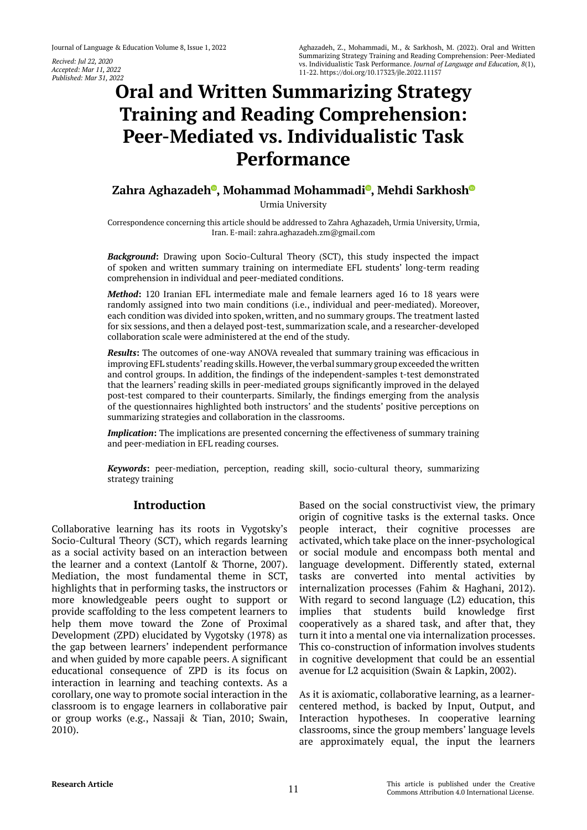*Recived: Jul 22, 2020 Accepted: Mar 11, 2022 Published: Mar 31, 2022*

# **Oral and Written Summarizing Strategy Training and Reading Comprehension: Peer-Mediated vs. Individualistic Task Performance**

# **Zahra Aghazade[h](https://orcid.org/0000-0002-4877-8140) , Mohammad Mohammad[i](https://orcid.org/0000-0002-8786-1035) , Mehdi Sarkhos[h](https://orcid.org/0000-0002-2483-4662)**

Urmia University

Correspondence concerning this article should be addressed to Zahra Aghazadeh, Urmia University, Urmia, Iran. E-mail: zahra.aghazadeh.zm@gmail.com

*Background***:** Drawing upon Socio-Cultural Theory (SCT), this study inspected the impact of spoken and written summary training on intermediate EFL students' long-term reading comprehension in individual and peer-mediated conditions.

*Method***:** 120 Iranian EFL intermediate male and female learners aged 16 to 18 years were randomly assigned into two main conditions (i.e., individual and peer-mediated). Moreover, each condition was divided into spoken, written, and no summary groups. The treatment lasted for six sessions, and then a delayed post-test, summarization scale, and a researcher-developed collaboration scale were administered at the end of the study.

*Results***:** The outcomes of one-way ANOVA revealed that summary training was efficacious in improving EFL students' reading skills. However, the verbal summary group exceeded the written and control groups. In addition, the findings of the independent-samples t-test demonstrated that the learners' reading skills in peer-mediated groups significantly improved in the delayed post-test compared to their counterparts. Similarly, the findings emerging from the analysis of the questionnaires highlighted both instructors' and the students' positive perceptions on summarizing strategies and collaboration in the classrooms.

*Implication***:** The implications are presented concerning the effectiveness of summary training and peer-mediation in EFL reading courses.

*Keywords***:** peer-mediation, perception, reading skill, socio-cultural theory, summarizing strategy training

# **Introduction**

Collaborative learning has its roots in Vygotsky's Socio-Cultural Theory (SCT), which regards learning as a social activity based on an interaction between the learner and a context (Lantolf & Thorne, 2007). Mediation, the most fundamental theme in SCT, highlights that in performing tasks, the instructors or more knowledgeable peers ought to support or provide scaffolding to the less competent learners to help them move toward the Zone of Proximal Development (ZPD) elucidated by Vygotsky (1978) as the gap between learners' independent performance and when guided by more capable peers. A significant educational consequence of ZPD is its focus on interaction in learning and teaching contexts. As a corollary, one way to promote social interaction in the classroom is to engage learners in collaborative pair or group works (e.g., Nassaji & Tian, 2010; Swain, 2010).

Based on the social constructivist view, the primary origin of cognitive tasks is the external tasks. Once people interact, their cognitive processes are activated, which take place on the inner-psychological or social module and encompass both mental and language development. Differently stated, external tasks are converted into mental activities by internalization processes (Fahim & Haghani, 2012). With regard to second language (L2) education, this implies that students build knowledge first cooperatively as a shared task, and after that, they turn it into a mental one via internalization processes. This co-construction of information involves students in cognitive development that could be an essential avenue for L2 acquisition (Swain & Lapkin, 2002).

As it is axiomatic, collaborative learning, as a learnercentered method, is backed by Input, Output, and Interaction hypotheses. In cooperative learning classrooms, since the group members' language levels are approximately equal, the input the learners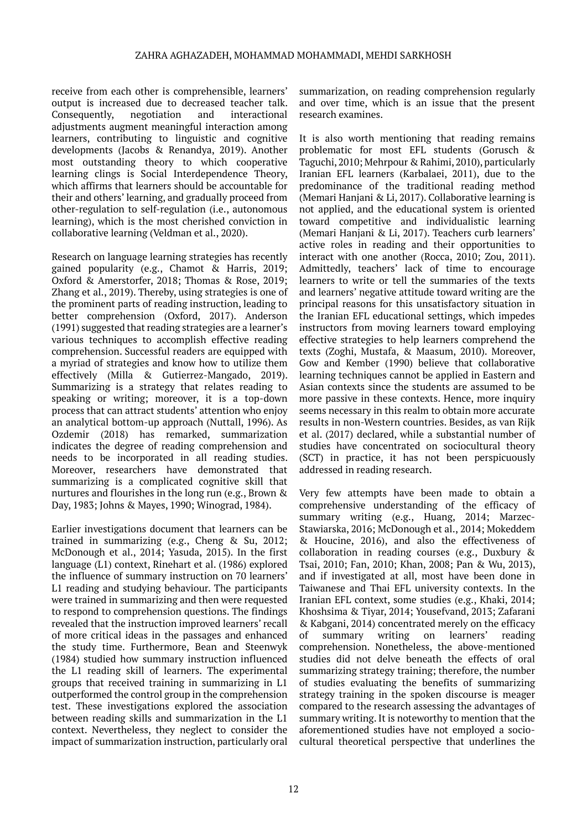receive from each other is comprehensible, learners' output is increased due to decreased teacher talk. Consequently, negotiation and interactional adjustments augment meaningful interaction among learners, contributing to linguistic and cognitive developments (Jacobs & Renandya, 2019). Another most outstanding theory to which cooperative learning clings is Social Interdependence Theory, which affirms that learners should be accountable for their and others' learning, and gradually proceed from other-regulation to self-regulation (i.e., autonomous learning), which is the most cherished conviction in collaborative learning (Veldman et al., 2020).

Research on language learning strategies has recently gained popularity (e.g., Chamot & Harris, 2019; Oxford & Amerstorfer, 2018; Thomas & Rose, 2019; Zhang et al., 2019). Thereby, using strategies is one of the prominent parts of reading instruction, leading to better comprehension (Oxford, 2017). Anderson (1991) suggested that reading strategies are a learner's various techniques to accomplish effective reading comprehension. Successful readers are equipped with a myriad of strategies and know how to utilize them effectively (Milla & Gutierrez-Mangado, 2019). Summarizing is a strategy that relates reading to speaking or writing; moreover, it is a top-down process that can attract students' attention who enjoy an analytical bottom-up approach (Nuttall, 1996). As Ozdemir (2018) has remarked, summarization indicates the degree of reading comprehension and needs to be incorporated in all reading studies. Moreover, researchers have demonstrated that summarizing is a complicated cognitive skill that nurtures and flourishes in the long run (e.g., Brown & Day, 1983; Johns & Mayes, 1990; Winograd, 1984).

Earlier investigations document that learners can be trained in summarizing (e.g., Cheng & Su, 2012; McDonough et al., 2014; Yasuda, 2015). In the first language (L1) context, Rinehart et al. (1986) explored the influence of summary instruction on 70 learners' L1 reading and studying behaviour. The participants were trained in summarizing and then were requested to respond to comprehension questions. The findings revealed that the instruction improved learners' recall of more critical ideas in the passages and enhanced the study time. Furthermore, Bean and Steenwyk (1984) studied how summary instruction influenced the L1 reading skill of learners. The experimental groups that received training in summarizing in L1 outperformed the control group in the comprehension test. These investigations explored the association between reading skills and summarization in the L1 context. Nevertheless, they neglect to consider the impact of summarization instruction, particularly oral

summarization, on reading comprehension regularly and over time, which is an issue that the present research examines.

It is also worth mentioning that reading remains problematic for most EFL students (Gorusch & Taguchi, 2010; Mehrpour & Rahimi, 2010), particularly Iranian EFL learners (Karbalaei, 2011), due to the predominance of the traditional reading method (Memari Hanjani & Li, 2017). Collaborative learning is not applied, and the educational system is oriented toward competitive and individualistic learning (Memari Hanjani & Li, 2017). Teachers curb learners' active roles in reading and their opportunities to interact with one another (Rocca, 2010; Zou, 2011). Admittedly, teachers' lack of time to encourage learners to write or tell the summaries of the texts and learners' negative attitude toward writing are the principal reasons for this unsatisfactory situation in the Iranian EFL educational settings, which impedes instructors from moving learners toward employing effective strategies to help learners comprehend the texts (Zoghi, Mustafa, & Maasum, 2010). Moreover, Gow and Kember (1990) believe that collaborative learning techniques cannot be applied in Eastern and Asian contexts since the students are assumed to be more passive in these contexts. Hence, more inquiry seems necessary in this realm to obtain more accurate results in non-Western countries. Besides, as van Rijk et al. (2017) declared, while a substantial number of studies have concentrated on sociocultural theory (SCT) in practice, it has not been perspicuously addressed in reading research.

Very few attempts have been made to obtain a comprehensive understanding of the efficacy of summary writing (e.g., Huang, 2014; Marzec-Stawiarska, 2016; McDonough et al., 2014; Mokeddem & Houcine, 2016), and also the effectiveness of collaboration in reading courses (e.g., Duxbury & Tsai, 2010; Fan, 2010; Khan, 2008; Pan & Wu, 2013), and if investigated at all, most have been done in Taiwanese and Thai EFL university contexts. In the Iranian EFL context, some studies (e.g., Khaki, 2014; Khoshsima & Tiyar, 2014; Yousefvand, 2013; Zafarani & Kabgani, 2014) concentrated merely on the efficacy of summary writing on learners' reading comprehension. Nonetheless, the above-mentioned studies did not delve beneath the effects of oral summarizing strategy training; therefore, the number of studies evaluating the benefits of summarizing strategy training in the spoken discourse is meager compared to the research assessing the advantages of summary writing. It is noteworthy to mention that the aforementioned studies have not employed a sociocultural theoretical perspective that underlines the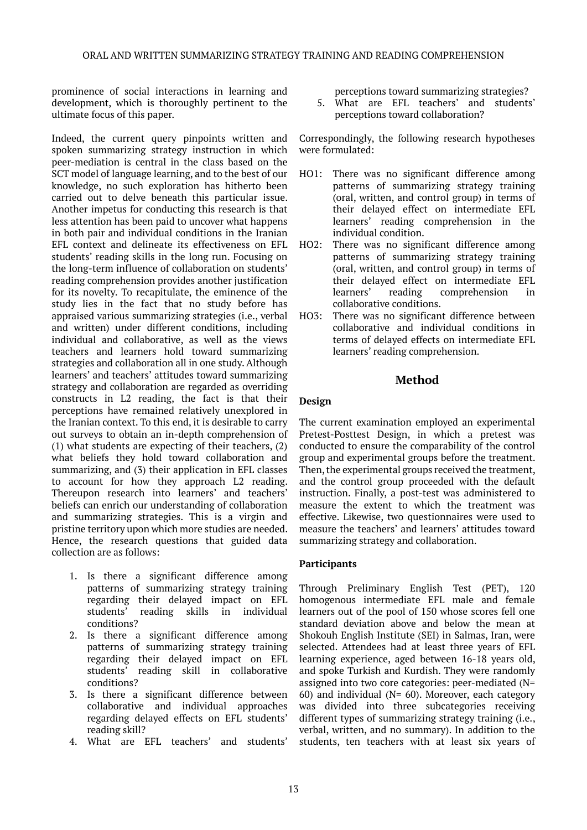prominence of social interactions in learning and development, which is thoroughly pertinent to the ultimate focus of this paper.

Indeed, the current query pinpoints written and spoken summarizing strategy instruction in which peer-mediation is central in the class based on the SCT model of language learning, and to the best of our knowledge, no such exploration has hitherto been carried out to delve beneath this particular issue. Another impetus for conducting this research is that less attention has been paid to uncover what happens in both pair and individual conditions in the Iranian EFL context and delineate its effectiveness on EFL students' reading skills in the long run. Focusing on the long-term influence of collaboration on students' reading comprehension provides another justification for its novelty. To recapitulate, the eminence of the study lies in the fact that no study before has appraised various summarizing strategies (i.e., verbal and written) under different conditions, including individual and collaborative, as well as the views teachers and learners hold toward summarizing strategies and collaboration all in one study. Although learners' and teachers' attitudes toward summarizing strategy and collaboration are regarded as overriding constructs in L2 reading, the fact is that their perceptions have remained relatively unexplored in the Iranian context. To this end, it is desirable to carry out surveys to obtain an in-depth comprehension of (1) what students are expecting of their teachers, (2) what beliefs they hold toward collaboration and summarizing, and (3) their application in EFL classes to account for how they approach L2 reading. Thereupon research into learners' and teachers' beliefs can enrich our understanding of collaboration and summarizing strategies. This is a virgin and pristine territory upon which more studies are needed. Hence, the research questions that guided data collection are as follows:

- 1. Is there a significant difference among patterns of summarizing strategy training regarding their delayed impact on EFL students' reading skills in individual conditions?
- 2. Is there a significant difference among patterns of summarizing strategy training regarding their delayed impact on EFL students' reading skill in collaborative conditions?
- 3. Is there a significant difference between collaborative and individual approaches regarding delayed effects on EFL students' reading skill?
- 4. What are EFL teachers' and students'

perceptions toward summarizing strategies?

5. What are EFL teachers' and students' perceptions toward collaboration?

Correspondingly, the following research hypotheses were formulated:

- HO1: There was no significant difference among patterns of summarizing strategy training (oral, written, and control group) in terms of their delayed effect on intermediate EFL learners' reading comprehension in the individual condition.
- HO2: There was no significant difference among patterns of summarizing strategy training (oral, written, and control group) in terms of their delayed effect on intermediate EFL learners' reading comprehension in collaborative conditions.
- HO3: There was no significant difference between collaborative and individual conditions in terms of delayed effects on intermediate EFL learners' reading comprehension.

### **Method**

#### **Design**

The current examination employed an experimental Pretest-Posttest Design, in which a pretest was conducted to ensure the comparability of the control group and experimental groups before the treatment. Then, the experimental groups received the treatment, and the control group proceeded with the default instruction. Finally, a post-test was administered to measure the extent to which the treatment was effective. Likewise, two questionnaires were used to measure the teachers' and learners' attitudes toward summarizing strategy and collaboration.

#### **Participants**

Through Preliminary English Test (PET), 120 homogenous intermediate EFL male and female learners out of the pool of 150 whose scores fell one standard deviation above and below the mean at Shokouh English Institute (SEI) in Salmas, Iran, were selected. Attendees had at least three years of EFL learning experience, aged between 16-18 years old, and spoke Turkish and Kurdish. They were randomly assigned into two core categories: peer-mediated (N= 60) and individual (N= 60). Moreover, each category was divided into three subcategories receiving different types of summarizing strategy training (i.e., verbal, written, and no summary). In addition to the students, ten teachers with at least six years of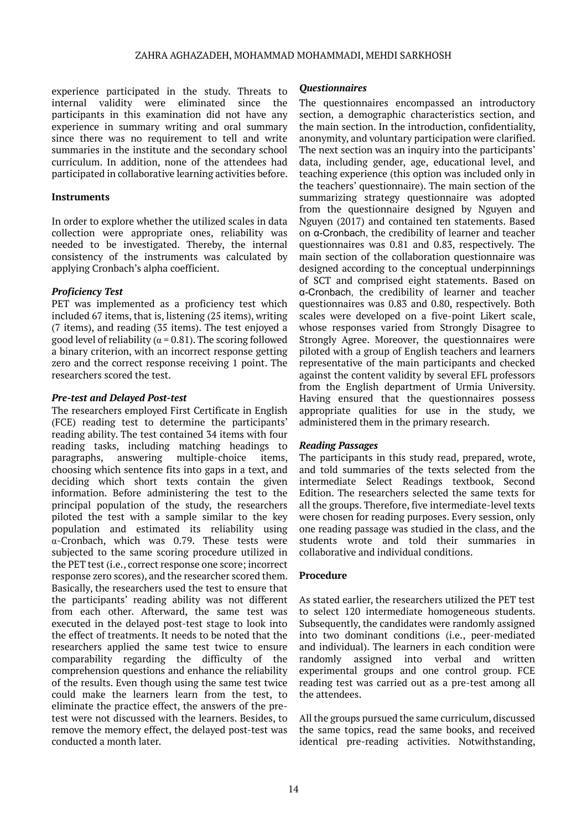experience participated in the study. Threats to internal validity were eliminated since the participants in this examination did not have any experience in summary writing and oral summary since there was no requirement to tell and write summaries in the institute and the secondary school curriculum. In addition, none of the attendees had participated in collaborative learning activities before.

#### **Instruments**

In order to explore whether the utilized scales in data collection were appropriate ones, reliability was needed to be investigated. Thereby, the internal consistency of the instruments was calculated by applying Cronbach's alpha coefficient.

#### *Proficiency Test*

PET was implemented as a proficiency test which included 67 items, that is, listening (25 items), writing (7 items), and reading (35 items). The test enjoyed a good level of reliability ( $\alpha$  = 0.81). The scoring followed a binary criterion, with an incorrect response getting zero and the correct response receiving 1 point. The researchers scored the test.

#### *Pre-test and Delayed Post-test*

The researchers employed First Certificate in English (FCE) reading test to determine the participants' reading ability. The test contained 34 items with four reading tasks, including matching headings to paragraphs, answering multiple-choice items, choosing which sentence fits into gaps in a text, and deciding which short texts contain the given information. Before administering the test to the principal population of the study, the researchers piloted the test with a sample similar to the key population and estimated its reliability using α-Cronbach, which was 0.79. These tests were subjected to the same scoring procedure utilized in the PET test (i.e., correct response one score; incorrect response zero scores), and the researcher scored them. Basically, the researchers used the test to ensure that the participants' reading ability was not different from each other. Afterward, the same test was executed in the delayed post-test stage to look into the effect of treatments. It needs to be noted that the researchers applied the same test twice to ensure comparability regarding the difficulty of the comprehension questions and enhance the reliability of the results. Even though using the same test twice could make the learners learn from the test, to eliminate the practice effect, the answers of the pretest were not discussed with the learners. Besides, to remove the memory effect, the delayed post-test was conducted a month later.

#### *Questionnaires*

The questionnaires encompassed an introductory section, a demographic characteristics section, and the main section. In the introduction, confidentiality, anonymity, and voluntary participation were clarified. The next section was an inquiry into the participants' data, including gender, age, educational level, and teaching experience (this option was included only in the teachers' questionnaire). The main section of the summarizing strategy questionnaire was adopted from the questionnaire designed by Nguyen and Nguyen (2017) and contained ten statements. Based on α-Cronbach, the credibility of learner and teacher questionnaires was 0.81 and 0.83, respectively. The main section of the collaboration questionnaire was designed according to the conceptual underpinnings of SCT and comprised eight statements. Based on α-Cronbach, the credibility of learner and teacher questionnaires was 0.83 and 0.80, respectively. Both scales were developed on a five-point Likert scale, whose responses varied from Strongly Disagree to Strongly Agree. Moreover, the questionnaires were piloted with a group of English teachers and learners representative of the main participants and checked against the content validity by several EFL professors from the English department of Urmia University. Having ensured that the questionnaires possess appropriate qualities for use in the study, we administered them in the primary research.

#### *Reading Passages*

The participants in this study read, prepared, wrote, and told summaries of the texts selected from the intermediate Select Readings textbook, Second Edition. The researchers selected the same texts for all the groups. Therefore, five intermediate-level texts were chosen for reading purposes. Every session, only one reading passage was studied in the class, and the students wrote and told their summaries in collaborative and individual conditions.

#### **Procedure**

As stated earlier, the researchers utilized the PET test to select 120 intermediate homogeneous students. Subsequently, the candidates were randomly assigned into two dominant conditions (i.e., peer-mediated and individual). The learners in each condition were randomly assigned into verbal and written experimental groups and one control group. FCE reading test was carried out as a pre-test among all the attendees.

All the groups pursued the same curriculum, discussed the same topics, read the same books, and received identical pre-reading activities. Notwithstanding,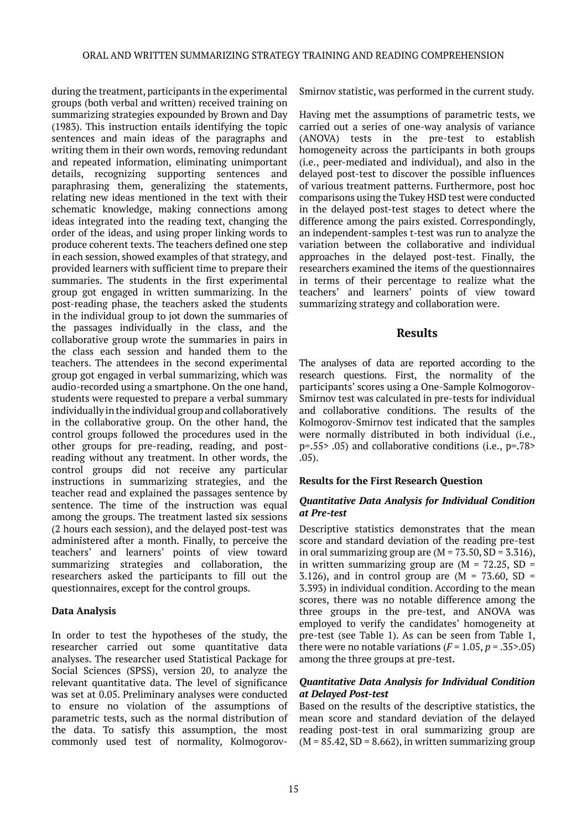during the treatment, participants in the experimental groups (both verbal and written) received training on summarizing strategies expounded by Brown and Day (1983). This instruction entails identifying the topic sentences and main ideas of the paragraphs and writing them in their own words, removing redundant and repeated information, eliminating unimportant details, recognizing supporting sentences and paraphrasing them, generalizing the statements, relating new ideas mentioned in the text with their schematic knowledge, making connections among ideas integrated into the reading text, changing the order of the ideas, and using proper linking words to produce coherent texts. The teachers defined one step in each session, showed examples of that strategy, and provided learners with sufficient time to prepare their summaries. The students in the first experimental group got engaged in written summarizing. In the post-reading phase, the teachers asked the students in the individual group to jot down the summaries of the passages individually in the class, and the collaborative group wrote the summaries in pairs in the class each session and handed them to the teachers. The attendees in the second experimental group got engaged in verbal summarizing, which was audio-recorded using a smartphone. On the one hand, students were requested to prepare a verbal summary individually in the individual group and collaboratively in the collaborative group. On the other hand, the control groups followed the procedures used in the other groups for pre-reading, reading, and postreading without any treatment. In other words, the control groups did not receive any particular instructions in summarizing strategies, and the teacher read and explained the passages sentence by sentence. The time of the instruction was equal among the groups. The treatment lasted six sessions (2 hours each session), and the delayed post-test was administered after a month. Finally, to perceive the teachers' and learners' points of view toward summarizing strategies and collaboration, the researchers asked the participants to fill out the questionnaires, except for the control groups.

#### **Data Analysis**

In order to test the hypotheses of the study, the researcher carried out some quantitative data analyses. The researcher used Statistical Package for Social Sciences (SPSS), version 20, to analyze the relevant quantitative data. The level of significance was set at 0.05. Preliminary analyses were conducted to ensure no violation of the assumptions of parametric tests, such as the normal distribution of the data. To satisfy this assumption, the most commonly used test of normality, KolmogorovSmirnov statistic, was performed in the current study.

Having met the assumptions of parametric tests, we carried out a series of one-way analysis of variance (ANOVA) tests in the pre-test to establish homogeneity across the participants in both groups (i.e., peer-mediated and individual), and also in the delayed post-test to discover the possible influences of various treatment patterns. Furthermore, post hoc comparisons using the Tukey HSD test were conducted in the delayed post-test stages to detect where the difference among the pairs existed. Correspondingly, an independent-samples t-test was run to analyze the variation between the collaborative and individual approaches in the delayed post-test. Finally, the researchers examined the items of the questionnaires in terms of their percentage to realize what the teachers' and learners' points of view toward summarizing strategy and collaboration were.

#### **Results**

The analyses of data are reported according to the research questions. First, the normality of the participants' scores using a One-Sample Kolmogorov-Smirnov test was calculated in pre-tests for individual and collaborative conditions. The results of the Kolmogorov-Smirnov test indicated that the samples were normally distributed in both individual (i.e., p=.55> .05) and collaborative conditions (i.e., p=.78> .05).

#### **Results for the First Research Question**

#### *Quantitative Data Analysis for Individual Condition at Pre-test*

Descriptive statistics demonstrates that the mean score and standard deviation of the reading pre-test in oral summarizing group are  $(M = 73.50, SD = 3.316)$ , in written summarizing group are  $(M = 72.25, SD =$ 3.126), and in control group are  $(M = 73.60, SD =$ 3.393) in individual condition. According to the mean scores, there was no notable difference among the three groups in the pre-test, and ANOVA was employed to verify the candidates' homogeneity at pre-test (see Table 1). As can be seen from Table 1, there were no notable variations  $(F = 1.05, p = .35$ >.05) among the three groups at pre-test.

#### *Quantitative Data Analysis for Individual Condition at Delayed Post-test*

Based on the results of the descriptive statistics, the mean score and standard deviation of the delayed reading post-test in oral summarizing group are  $(M = 85.42, SD = 8.662)$ , in written summarizing group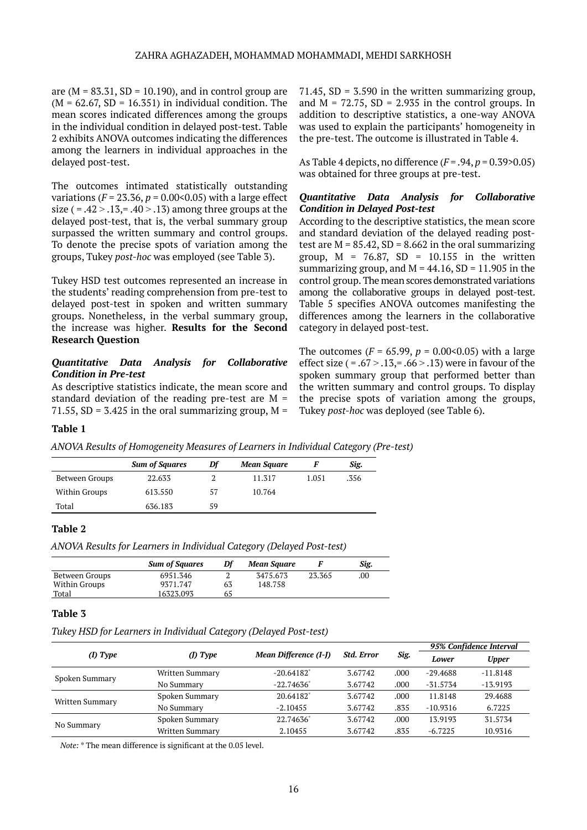are ( $M = 83.31$ ,  $SD = 10.190$ ), and in control group are  $(M = 62.67, SD = 16.351)$  in individual condition. The mean scores indicated differences among the groups in the individual condition in delayed post-test. Table 2 exhibits ANOVA outcomes indicating the differences among the learners in individual approaches in the delayed post-test.

The outcomes intimated statistically outstanding variations ( $F = 23.36$ ,  $p = 0.00 \le 0.05$ ) with a large effect size ( = .42  $>$  .13, = .40  $>$  .13) among three groups at the delayed post-test, that is, the verbal summary group surpassed the written summary and control groups. To denote the precise spots of variation among the groups, Tukey *post-hoc* was employed (see Table 3).

Tukey HSD test outcomes represented an increase in the students' reading comprehension from pre-test to delayed post-test in spoken and written summary groups. Nonetheless, in the verbal summary group, the increase was higher. **Results for the Second Research Question**

#### *Quantitative Data Analysis for Collaborative Condition in Pre-test*

As descriptive statistics indicate, the mean score and standard deviation of the reading pre-test are  $M =$ 71.55, SD = 3.425 in the oral summarizing group,  $M =$  71.45,  $SD = 3.590$  in the written summarizing group, and  $M = 72.75$ ,  $SD = 2.935$  in the control groups. In addition to descriptive statistics, a one-way ANOVA was used to explain the participants' homogeneity in the pre-test. The outcome is illustrated in Table 4.

As Table 4 depicts, no difference (*F* = .94, *p* = 0.39>0.05) was obtained for three groups at pre-test.

#### *Quantitative Data Analysis for Collaborative Condition in Delayed Post-test*

According to the descriptive statistics, the mean score and standard deviation of the delayed reading posttest are  $M = 85.42$ ,  $SD = 8.662$  in the oral summarizing group,  $M = 76.87$ ,  $SD = 10.155$  in the written summarizing group, and  $M = 44.16$ , SD = 11.905 in the control group. The mean scores demonstrated variations among the collaborative groups in delayed post-test. Table 5 specifies ANOVA outcomes manifesting the differences among the learners in the collaborative category in delayed post-test.

The outcomes ( $F = 65.99$ ,  $p = 0.00 \le 0.05$ ) with a large effect size  $( = .67 > .13, = .66 > .13)$  were in favour of the spoken summary group that performed better than the written summary and control groups. To display the precise spots of variation among the groups, Tukey *post-hoc* was deployed (see Table 6).

#### **Table 1**

|                | <b>Sum of Squares</b> | Df | <b>Mean Square</b> |       | Sig. |
|----------------|-----------------------|----|--------------------|-------|------|
| Between Groups | 22.633                |    | 11.317             | 1.051 | .356 |
| Within Groups  | 613.550               | 57 | 10.764             |       |      |
| Total          | 636.183               | 59 |                    |       |      |

*ANOVA Results of Homogeneity Measures of Learners in Individual Category (Pre-test)*

#### **Table 2**

*ANOVA Results for Learners in Individual Category (Delayed Post-test)*

|                | <b>Sum of Squares</b> | Df | Mean Square |        | Sig. |
|----------------|-----------------------|----|-------------|--------|------|
| Between Groups | 6951.346              |    | 3475.673    | 23.365 | .00. |
| Within Groups  | 9371.747              | 63 | 148.758     |        |      |
| Total          | 16323.093             | 65 |             |        |      |

#### **Table 3**

*Tukey HSD for Learners in Individual Category (Delayed Post-test)*

|                 |                 |                       |                   |      | 95% Confidence Interval |              |
|-----------------|-----------------|-----------------------|-------------------|------|-------------------------|--------------|
| $(I)$ Type      | $(D)$ Type      | Mean Difference (I-J) | <b>Std. Error</b> | Sig. | Lower                   | <b>Upper</b> |
| Spoken Summary  | Written Summary | $-20.64182"$          | 3.67742           | .000 | $-29.4688$              | $-11.8148$   |
|                 | No Summary      | $-22.74636"$          | 3.67742           | .000 | $-31.5734$              | $-13.9193$   |
| Written Summary | Spoken Summary  | 20.64182              | 3.67742           | .000 | 11.8148                 | 29.4688      |
|                 | No Summary      | $-2.10455$            | 3.67742           | .835 | $-10.9316$              | 6.7225       |
| No Summary      | Spoken Summary  | 22.74636              | 3.67742           | .000 | 13.9193                 | 31.5734      |
|                 | Written Summary | 2.10455               | 3.67742           | .835 | $-6.7225$               | 10.9316      |

*Note:* \* The mean difference is significant at the 0.05 level.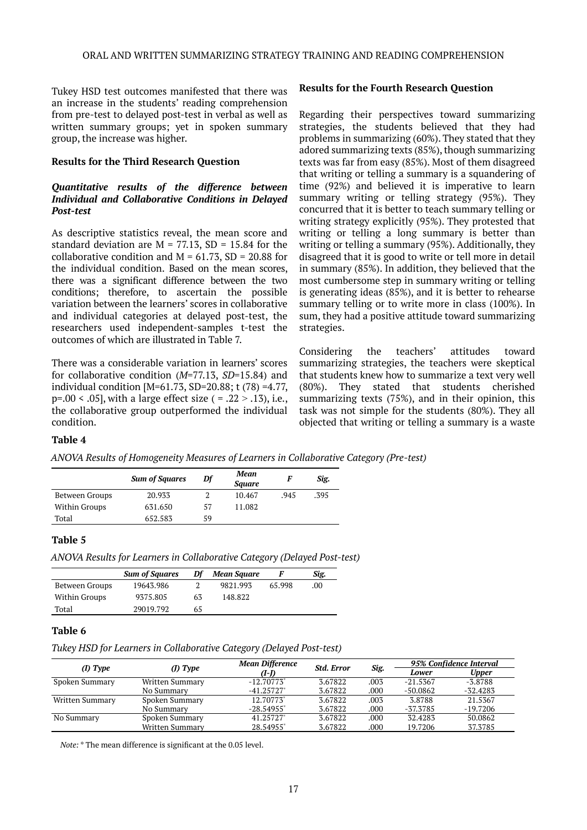Tukey HSD test outcomes manifested that there was an increase in the students' reading comprehension from pre-test to delayed post-test in verbal as well as written summary groups; yet in spoken summary group, the increase was higher.

#### **Results for the Third Research Question**

#### *Quantitative results of the difference between Individual and Collaborative Conditions in Delayed Post-test*

As descriptive statistics reveal, the mean score and standard deviation are  $M = 77.13$ , SD = 15.84 for the collaborative condition and  $M = 61.73$ , SD = 20.88 for the individual condition. Based on the mean scores, there was a significant difference between the two conditions; therefore, to ascertain the possible variation between the learners' scores in collaborative and individual categories at delayed post-test, the researchers used independent-samples t-test the outcomes of which are illustrated in Table 7.

There was a considerable variation in learners' scores for collaborative condition (*M*=77.13, *SD*=15.84) and individual condition [M=61.73, SD=20.88; t (78) =4.77,  $p=.00 \le .05$ ], with a large effect size ( = .22 > .13), i.e., the collaborative group outperformed the individual condition.

#### **Results for the Fourth Research Question**

Regarding their perspectives toward summarizing strategies, the students believed that they had problems in summarizing (60%). They stated that they adored summarizing texts (85%), though summarizing texts was far from easy (85%). Most of them disagreed that writing or telling a summary is a squandering of time (92%) and believed it is imperative to learn summary writing or telling strategy (95%). They concurred that it is better to teach summary telling or writing strategy explicitly (95%). They protested that writing or telling a long summary is better than writing or telling a summary (95%). Additionally, they disagreed that it is good to write or tell more in detail in summary (85%). In addition, they believed that the most cumbersome step in summary writing or telling is generating ideas (85%), and it is better to rehearse summary telling or to write more in class (100%). In sum, they had a positive attitude toward summarizing strategies.

Considering the teachers' attitudes toward summarizing strategies, the teachers were skeptical that students knew how to summarize a text very well (80%). They stated that students cherished summarizing texts (75%), and in their opinion, this task was not simple for the students (80%). They all objected that writing or telling a summary is a waste

#### **Table 4**

*ANOVA Results of Homogeneity Measures of Learners in Collaborative Category (Pre-test)*

|                | <b>Sum of Squares</b><br>Df |    | Mean<br><b>Square</b> | F    | Sig. |
|----------------|-----------------------------|----|-----------------------|------|------|
| Between Groups | 20.933                      |    | 10.467                | .945 | .395 |
| Within Groups  | 631.650                     | 57 | 11.082                |      |      |
| Total          | 652.583                     | 59 |                       |      |      |

#### **Table 5**

*ANOVA Results for Learners in Collaborative Category (Delayed Post-test)*

|                | <b>Sum of Squares</b> | Df | <b>Mean Square</b> |        | Sig. |
|----------------|-----------------------|----|--------------------|--------|------|
| Between Groups | 19643.986             |    | 9821.993           | 65.998 | .00  |
| Within Groups  | 9375.805              | 63 | 148.822            |        |      |
| Total          | 29019.792             | 65 |                    |        |      |

#### **Table 6**

*Tukey HSD for Learners in Collaborative Category (Delayed Post-test)*

|                 |                 | <b>Mean Difference</b>   | <b>Std. Error</b> |      | 95% Confidence Interval |              |
|-----------------|-----------------|--------------------------|-------------------|------|-------------------------|--------------|
| $(I)$ Type      | (D) Type        | (I-I)                    |                   | Sig. | Lower                   | <b>Upper</b> |
| Spoken Summary  | Written Summary | $-12.70773$ <sup>*</sup> | 3.67822           | .003 | $-21.5367$              | $-3.8788$    |
|                 | No Summary      | $-41.25727$              | 3.67822           | .000 | $-50.0862$              | $-32.4283$   |
| Written Summary | Spoken Summary  | 12.70773*                | 3.67822           | .003 | 3.8788                  | 21.5367      |
|                 | No Summary      | $-28.54955$ <sup>*</sup> | 3.67822           | .000 | -37.3785                | $-19.7206$   |
| No Summary      | Spoken Summary  | 41.25727*                | 3.67822           | .000 | 32.4283                 | 50.0862      |
|                 | Written Summary | 28.54955                 | 3.67822           | .000 | 19.7206                 | 37.3785      |

*Note:* \* The mean difference is significant at the 0.05 level.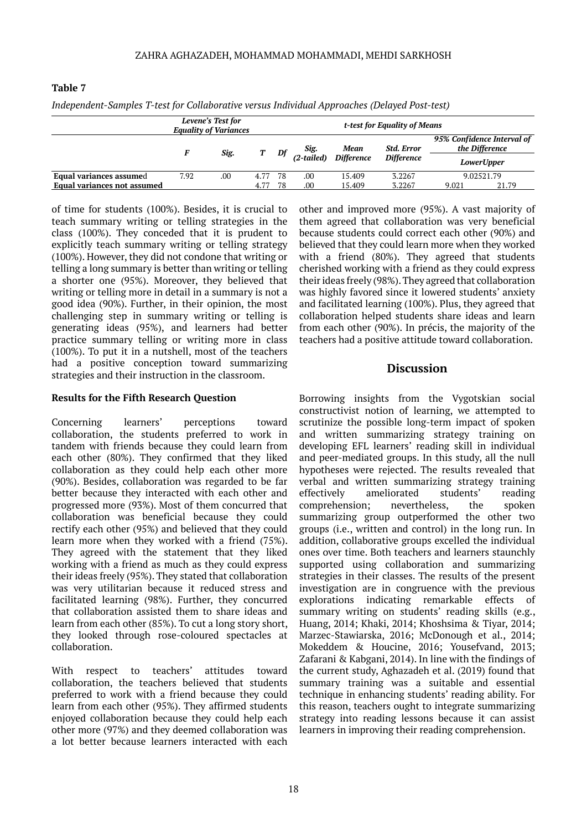| Thaependent-Samples 1-test for Collaborative versus Individual Approaches (Delayed Post-test) |                                                   |      |      |                              |                    |                   |                   |                                              |                   |
|-----------------------------------------------------------------------------------------------|---------------------------------------------------|------|------|------------------------------|--------------------|-------------------|-------------------|----------------------------------------------|-------------------|
|                                                                                               | Levene's Test for<br><b>Equality of Variances</b> |      |      | t-test for Equality of Means |                    |                   |                   |                                              |                   |
|                                                                                               |                                                   |      | Т    | Df                           | Sig.<br>(2-tailed) | Mean              | <b>Std. Error</b> | 95% Confidence Interval of<br>the Difference |                   |
|                                                                                               |                                                   | Sig. |      |                              |                    | <b>Difference</b> | <b>Difference</b> |                                              | <i>LowerUpper</i> |
| Equal variances assumed                                                                       | 7.92                                              | .00  | 4.77 | -78                          | .00                | 15.409            | 3.2267            | 9.02521.79                                   |                   |
| <b>Equal variances not assumed</b>                                                            |                                                   |      | 4.77 | 78                           | .00                | 15.409            | 3.2267            | 9.021                                        | 21.79             |

**Table 7**

*Independent-Samples T-test for Collaborative versus Individual Approaches (Delayed Post-test)*

of time for students (100%). Besides, it is crucial to teach summary writing or telling strategies in the class (100%). They conceded that it is prudent to explicitly teach summary writing or telling strategy (100%). However, they did not condone that writing or telling a long summary is better than writing or telling a shorter one (95%). Moreover, they believed that writing or telling more in detail in a summary is not a good idea (90%). Further, in their opinion, the most challenging step in summary writing or telling is generating ideas (95%), and learners had better practice summary telling or writing more in class (100%). To put it in a nutshell, most of the teachers had a positive conception toward summarizing strategies and their instruction in the classroom.

#### **Results for the Fifth Research Question**

Concerning learners' perceptions toward collaboration, the students preferred to work in tandem with friends because they could learn from each other (80%). They confirmed that they liked collaboration as they could help each other more (90%). Besides, collaboration was regarded to be far better because they interacted with each other and progressed more (93%). Most of them concurred that collaboration was beneficial because they could rectify each other (95%) and believed that they could learn more when they worked with a friend (75%). They agreed with the statement that they liked working with a friend as much as they could express their ideas freely (95%). They stated that collaboration was very utilitarian because it reduced stress and facilitated learning (98%). Further, they concurred that collaboration assisted them to share ideas and learn from each other (85%). To cut a long story short, they looked through rose-coloured spectacles at collaboration.

With respect to teachers' attitudes toward collaboration, the teachers believed that students preferred to work with a friend because they could learn from each other (95%). They affirmed students enjoyed collaboration because they could help each other more (97%) and they deemed collaboration was a lot better because learners interacted with each

other and improved more (95%). A vast majority of them agreed that collaboration was very beneficial because students could correct each other (90%) and believed that they could learn more when they worked with a friend (80%). They agreed that students cherished working with a friend as they could express their ideas freely (98%). They agreed that collaboration was highly favored since it lowered students' anxiety and facilitated learning (100%). Plus, they agreed that collaboration helped students share ideas and learn from each other (90%). In précis, the majority of the teachers had a positive attitude toward collaboration.

# **Discussion**

Borrowing insights from the Vygotskian social constructivist notion of learning, we attempted to scrutinize the possible long-term impact of spoken and written summarizing strategy training on developing EFL learners' reading skill in individual and peer-mediated groups. In this study, all the null hypotheses were rejected. The results revealed that verbal and written summarizing strategy training effectively ameliorated students' reading comprehension; nevertheless, the spoken summarizing group outperformed the other two groups (i.e., written and control) in the long run. In addition, collaborative groups excelled the individual ones over time. Both teachers and learners staunchly supported using collaboration and summarizing strategies in their classes. The results of the present investigation are in congruence with the previous explorations indicating remarkable effects of summary writing on students' reading skills (e.g., Huang, 2014; Khaki, 2014; Khoshsima & Tiyar, 2014; Marzec-Stawiarska, 2016; McDonough et al., 2014; Mokeddem & Houcine, 2016; Yousefvand, 2013; Zafarani & Kabgani, 2014). In line with the findings of the current study, Aghazadeh et al. (2019) found that summary training was a suitable and essential technique in enhancing students' reading ability. For this reason, teachers ought to integrate summarizing strategy into reading lessons because it can assist learners in improving their reading comprehension.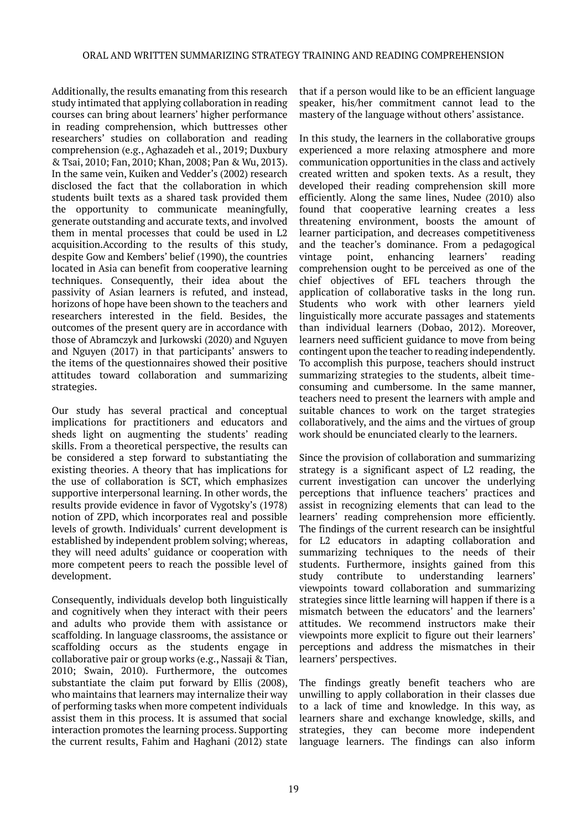Additionally, the results emanating from this research study intimated that applying collaboration in reading courses can bring about learners' higher performance in reading comprehension, which buttresses other researchers' studies on collaboration and reading comprehension (e.g., Aghazadeh et al., 2019; Duxbury & Tsai, 2010; Fan, 2010; Khan, 2008; Pan & Wu, 2013). In the same vein, Kuiken and Vedder's (2002) research disclosed the fact that the collaboration in which students built texts as a shared task provided them the opportunity to communicate meaningfully, generate outstanding and accurate texts, and involved them in mental processes that could be used in L2 acquisition.According to the results of this study, despite Gow and Kembers' belief (1990), the countries located in Asia can benefit from cooperative learning techniques. Consequently, their idea about the passivity of Asian learners is refuted, and instead, horizons of hope have been shown to the teachers and researchers interested in the field. Besides, the outcomes of the present query are in accordance with those of Abramczyk and Jurkowski (2020) and Nguyen and Nguyen (2017) in that participants' answers to the items of the questionnaires showed their positive attitudes toward collaboration and summarizing strategies.

Our study has several practical and conceptual implications for practitioners and educators and sheds light on augmenting the students' reading skills. From a theoretical perspective, the results can be considered a step forward to substantiating the existing theories. A theory that has implications for the use of collaboration is SCT, which emphasizes supportive interpersonal learning. In other words, the results provide evidence in favor of Vygotsky's (1978) notion of ZPD, which incorporates real and possible levels of growth. Individuals' current development is established by independent problem solving; whereas, they will need adults' guidance or cooperation with more competent peers to reach the possible level of development.

Consequently, individuals develop both linguistically and cognitively when they interact with their peers and adults who provide them with assistance or scaffolding. In language classrooms, the assistance or scaffolding occurs as the students engage in collaborative pair or group works (e.g., Nassaji & Tian, 2010; Swain, 2010). Furthermore, the outcomes substantiate the claim put forward by Ellis (2008), who maintains that learners may internalize their way of performing tasks when more competent individuals assist them in this process. It is assumed that social interaction promotes the learning process. Supporting the current results, Fahim and Haghani (2012) state

that if a person would like to be an efficient language speaker, his/her commitment cannot lead to the mastery of the language without others' assistance.

In this study, the learners in the collaborative groups experienced a more relaxing atmosphere and more communication opportunities in the class and actively created written and spoken texts. As a result, they developed their reading comprehension skill more efficiently. Along the same lines, Nudee (2010) also found that cooperative learning creates a less threatening environment, boosts the amount of learner participation, and decreases competitiveness and the teacher's dominance. From a pedagogical vintage point, enhancing learners' reading comprehension ought to be perceived as one of the chief objectives of EFL teachers through the application of collaborative tasks in the long run. Students who work with other learners yield linguistically more accurate passages and statements than individual learners (Dobao, 2012). Moreover, learners need sufficient guidance to move from being contingent upon the teacher to reading independently. To accomplish this purpose, teachers should instruct summarizing strategies to the students, albeit timeconsuming and cumbersome. In the same manner, teachers need to present the learners with ample and suitable chances to work on the target strategies collaboratively, and the aims and the virtues of group work should be enunciated clearly to the learners.

Since the provision of collaboration and summarizing strategy is a significant aspect of L2 reading, the current investigation can uncover the underlying perceptions that influence teachers' practices and assist in recognizing elements that can lead to the learners' reading comprehension more efficiently. The findings of the current research can be insightful for L2 educators in adapting collaboration and summarizing techniques to the needs of their students. Furthermore, insights gained from this study contribute to understanding learners' viewpoints toward collaboration and summarizing strategies since little learning will happen if there is a mismatch between the educators' and the learners' attitudes. We recommend instructors make their viewpoints more explicit to figure out their learners' perceptions and address the mismatches in their learners' perspectives.

The findings greatly benefit teachers who are unwilling to apply collaboration in their classes due to a lack of time and knowledge. In this way, as learners share and exchange knowledge, skills, and strategies, they can become more independent language learners. The findings can also inform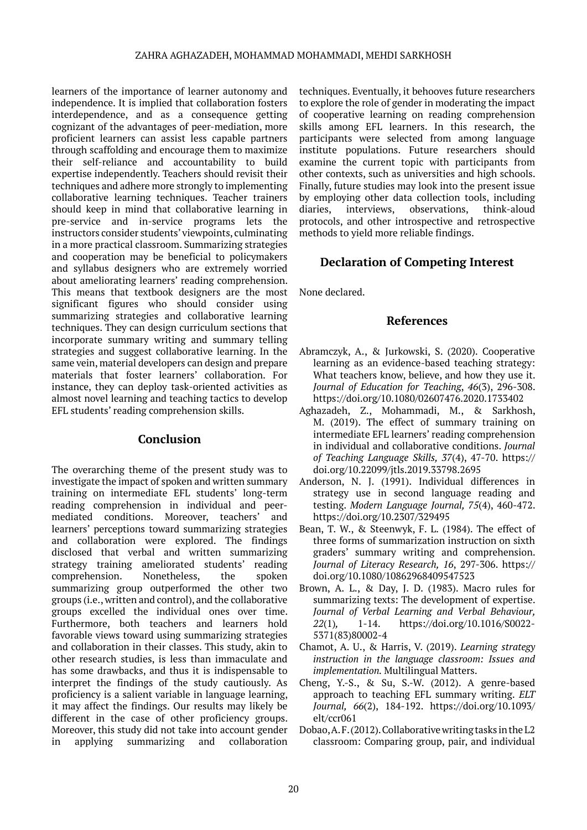learners of the importance of learner autonomy and independence. It is implied that collaboration fosters interdependence, and as a consequence getting cognizant of the advantages of peer-mediation, more proficient learners can assist less capable partners through scaffolding and encourage them to maximize their self-reliance and accountability to build expertise independently. Teachers should revisit their techniques and adhere more strongly to implementing collaborative learning techniques. Teacher trainers should keep in mind that collaborative learning in pre-service and in-service programs lets the instructors consider students' viewpoints, culminating in a more practical classroom. Summarizing strategies and cooperation may be beneficial to policymakers and syllabus designers who are extremely worried about ameliorating learners' reading comprehension. This means that textbook designers are the most significant figures who should consider using summarizing strategies and collaborative learning techniques. They can design curriculum sections that incorporate summary writing and summary telling strategies and suggest collaborative learning. In the same vein, material developers can design and prepare materials that foster learners' collaboration. For instance, they can deploy task-oriented activities as almost novel learning and teaching tactics to develop EFL students' reading comprehension skills.

# **Conclusion**

The overarching theme of the present study was to investigate the impact of spoken and written summary training on intermediate EFL students' long-term reading comprehension in individual and peermediated conditions. Moreover, teachers' and learners' perceptions toward summarizing strategies and collaboration were explored. The findings disclosed that verbal and written summarizing strategy training ameliorated students' reading comprehension. Nonetheless, the spoken summarizing group outperformed the other two groups (i.e., written and control), and the collaborative groups excelled the individual ones over time. Furthermore, both teachers and learners hold favorable views toward using summarizing strategies and collaboration in their classes. This study, akin to other research studies, is less than immaculate and has some drawbacks, and thus it is indispensable to interpret the findings of the study cautiously. As proficiency is a salient variable in language learning, it may affect the findings. Our results may likely be different in the case of other proficiency groups. Moreover, this study did not take into account gender in applying summarizing and collaboration

techniques. Eventually, it behooves future researchers to explore the role of gender in moderating the impact of cooperative learning on reading comprehension skills among EFL learners. In this research, the participants were selected from among language institute populations. Future researchers should examine the current topic with participants from other contexts, such as universities and high schools. Finally, future studies may look into the present issue by employing other data collection tools, including diaries, interviews, observations, think-aloud protocols, and other introspective and retrospective methods to yield more reliable findings.

# **Declaration of Competing Interest**

None declared.

# **References**

- Abramczyk, A., & Jurkowski, S. (2020). Cooperative learning as an evidence-based teaching strategy: What teachers know, believe, and how they use it. *Journal of Education for Teaching*, *46*(3), 296-308. <https://doi.org/10.1080/02607476.2020.1733402>
- Aghazadeh, Z., Mohammadi, M., & Sarkhosh, M. (2019). The effect of summary training on intermediate EFL learners' reading comprehension in individual and collaborative conditions. *Journal of Teaching Language Skills, 37*(4), 47-70. [https://](https://doi.org/10.22099/jtls.2019.33798.2695) [doi.org/10.22099/jtls.2019.33798.2695](https://doi.org/10.22099/jtls.2019.33798.2695)
- Anderson, N. J. (1991). Individual differences in strategy use in second language reading and testing. *Modern Language Journal, 75*(4), 460-472. [https://doi.org/10.2307/329495](https://psycnet.apa.org/doi/10.2307/329495)
- Bean, T. W., & Steenwyk, F. L. (1984). The effect of three forms of summarization instruction on sixth graders' summary writing and comprehension. *Journal of Literacy Research, 16*, 297-306. [https://](https://doi.org/10.1080%2F10862968409547523) [doi.org/10.1080/10862968409547523](https://doi.org/10.1080%2F10862968409547523)
- Brown, A. L., & Day, J. D. (1983). Macro rules for summarizing texts: The development of expertise. *Journal of Verbal Learning and Verbal Behaviour, 22*(1)*,* 1-14. [https://doi.org/10.1016/S0022-](https://doi.org/10.1016/S0022-5371(83)80002-4) [5371\(83\)80002-4](https://doi.org/10.1016/S0022-5371(83)80002-4)
- Chamot, A. U., & Harris, V. (2019). *Learning strategy instruction in the language classroom: Issues and implementation.* Multilingual Matters.
- Cheng, Y.-S., & Su, S.-W. (2012). A genre-based approach to teaching EFL summary writing. *ELT Journal, 66*(2), 184-192. [https://doi.org/10.1093/](https://doi.org/10.1093/elt/ccr061) [elt/ccr061](https://doi.org/10.1093/elt/ccr061)
- Dobao, A. F. (2012). Collaborative writing tasks in the L2 classroom: Comparing group, pair, and individual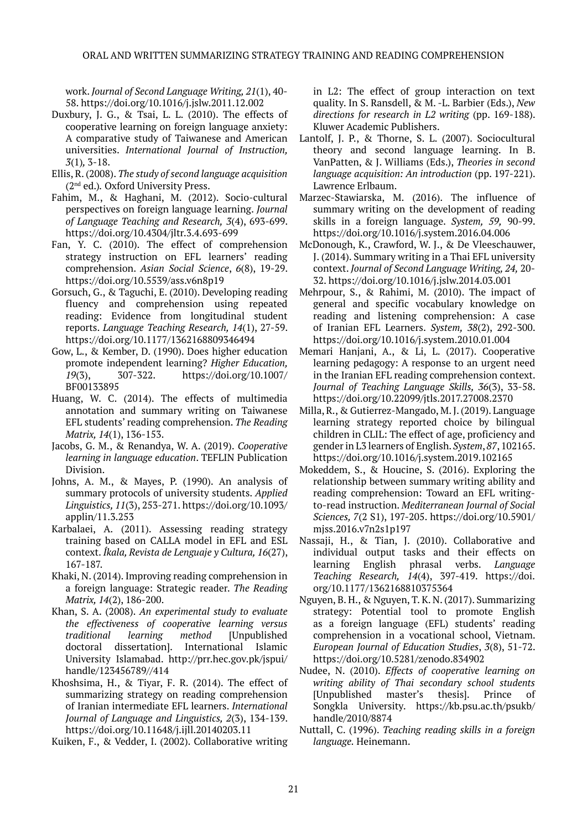work. *Journal of Second Language Writing, 21*(1), 40- 58.<https://doi.org/10.1016/j.jslw.2011.12.002>

- Duxbury, J. G., & Tsai, L. L. (2010). The effects of cooperative learning on foreign language anxiety: A comparative study of Taiwanese and American universities. *International Journal of Instruction, 3*(1)*,* 3-18.
- Ellis, R. (2008). *The study of second language acquisition*  (2nd ed.)*.* Oxford University Press.
- Fahim, M., & Haghani, M. (2012). Socio-cultural perspectives on foreign language learning. *Journal of Language Teaching and Research, 3*(4), 693-699. <https://doi.org/10.4304/jltr.3.4.693-699>
- Fan, Y. C. (2010). The effect of comprehension strategy instruction on EFL learners' reading comprehension. *Asian Social Science*, *6*(8), 19-29. <https://doi.org/10.5539/ass.v6n8p19>
- Gorsuch, G., & Taguchi, E. (2010). Developing reading fluency and comprehension using repeated reading: Evidence from longitudinal student reports. *Language Teaching Research, 14*(1), 27-59. <https://doi.org/10.1177/1362168809346494>
- Gow, L., & Kember, D. (1990). Does higher education promote independent learning? *Higher Education, 19*(3), 307-322. [https://doi.org/10.1007/](https://doi.org/10.1007/BF00133895) [BF00133895](https://doi.org/10.1007/BF00133895)
- Huang, W. C. (2014). The effects of multimedia annotation and summary writing on Taiwanese EFL students' reading comprehension. *The Reading Matrix, 14*(1), 136-153.
- Jacobs, G. M., & Renandya, W. A. (2019). *Cooperative learning in language education*. TEFLIN Publication Division.
- Johns, A. M., & Mayes, P. (1990). An analysis of summary protocols of university students. *Applied Linguistics, 11*(3), 253-271. [https://doi.org/10.1093/](https://doi.org/10.1093/applin/11.3.253) [applin/11.3.253](https://doi.org/10.1093/applin/11.3.253)
- Karbalaei, A. (2011). Assessing reading strategy training based on CALLA model in EFL and ESL context. *Íkala, Revista de Lenguaje y Cultura, 16*(27), 167-187.
- Khaki, N. (2014). Improving reading comprehension in a foreign language: Strategic reader. *The Reading Matrix, 14*(2), 186-200.
- Khan, S. A. (2008). *An experimental study to evaluate the effectiveness of cooperative learning versus traditional learning method* [Unpublished doctoral dissertation]. International Islamic University Islamabad. [http://prr.hec.gov.pk/jspui/](http://prr.hec.gov.pk/jspui/handle/123456789/414) [handle/123456789//414](http://prr.hec.gov.pk/jspui/handle/123456789/414)
- Khoshsima, H., & Tiyar, F. R. (2014). The effect of summarizing strategy on reading comprehension of Iranian intermediate EFL learners. *International Journal of Language and Linguistics, 2*(3), 134-139. <https://doi.org/10.11648/j.ijll.20140203.11>

Kuiken, F., & Vedder, I. (2002). Collaborative writing

in L2: The effect of group interaction on text quality. In S. Ransdell, & M. -L. Barbier (Eds.), *New directions for research in L2 writing* (pp. 169-188). Kluwer Academic Publishers.

- Lantolf, J. P., & Thorne, S. L. (2007). Sociocultural theory and second language learning. In B. VanPatten, & J. Williams (Eds.), *Theories in second language acquisition: An introduction (pp. 197-221).* Lawrence Erlbaum.
- Marzec-Stawiarska, M. (2016). The influence of summary writing on the development of reading skills in a foreign language. *System, 59,* 90-99. <https://doi.org/10.1016/j.system.2016.04.006>
- McDonough, K., Crawford, W. J., & De Vleeschauwer, J. (2014). Summary writing in a Thai EFL university context. *Journal of Second Language Writing, 24,* 20- 32.<https://doi.org/10.1016/j.jslw.2014.03.001>
- Mehrpour, S., & Rahimi, M. (2010). The impact of general and specific vocabulary knowledge on reading and listening comprehension: A case of Iranian EFL Learners. *System, 38*(2), 292-300. <https://doi.org/10.1016/j.system.2010.01.004>
- Memari Hanjani, A., & Li, L. (2017). Cooperative learning pedagogy: A response to an urgent need in the Iranian EFL reading comprehension context. *Journal of Teaching Language Skills, 36*(3), 33-58. <https://doi.org/10.22099/jtls.2017.27008.2370>
- Milla, R., & Gutierrez-Mangado, M. J. (2019). Language learning strategy reported choice by bilingual children in CLIL: The effect of age, proficiency and gender in L3 learners of English. *System*, *87*, 102165. <https://doi.org/10.1016/j.system.2019.102165>
- Mokeddem, S., & Houcine, S. (2016). Exploring the relationship between summary writing ability and reading comprehension: Toward an EFL writingto-read instruction. *Mediterranean Journal of Social Sciences, 7*(2 S1), 197-205. [https://doi.org/10.5901/](https://doi.org/10.5901/mjss.2016.v7n2s1p197) [mjss.2016.v7n2s1p197](https://doi.org/10.5901/mjss.2016.v7n2s1p197)
- Nassaji, H., & Tian, J. (2010). Collaborative and individual output tasks and their effects on learning English phrasal verbs. *Language Teaching Research, 14*(4), 397-419. [https://doi.](https://doi.org/10.1177/1362168810375364) [org/10.1177/1362168810375364](https://doi.org/10.1177/1362168810375364)
- Nguyen, B. H., & Nguyen, T. K. N. (2017). Summarizing strategy: Potential tool to promote English as a foreign language (EFL) students' reading comprehension in a vocational school, Vietnam. *European Journal of Education Studies*, *3*(8), 51-72. <https://doi.org/10.5281/zenodo.834902>
- Nudee, N. (2010). *Effects of cooperative learning on writing ability of Thai secondary school students*  [Unpublished master's thesis]. Prince of Songkla University. [https://kb.psu.ac.th/psukb/](https://kb.psu.ac.th/psukb/handle/2010/8874) [handle/2010/8874](https://kb.psu.ac.th/psukb/handle/2010/8874)
- Nuttall, C. (1996). *Teaching reading skills in a foreign language.* Heinemann.